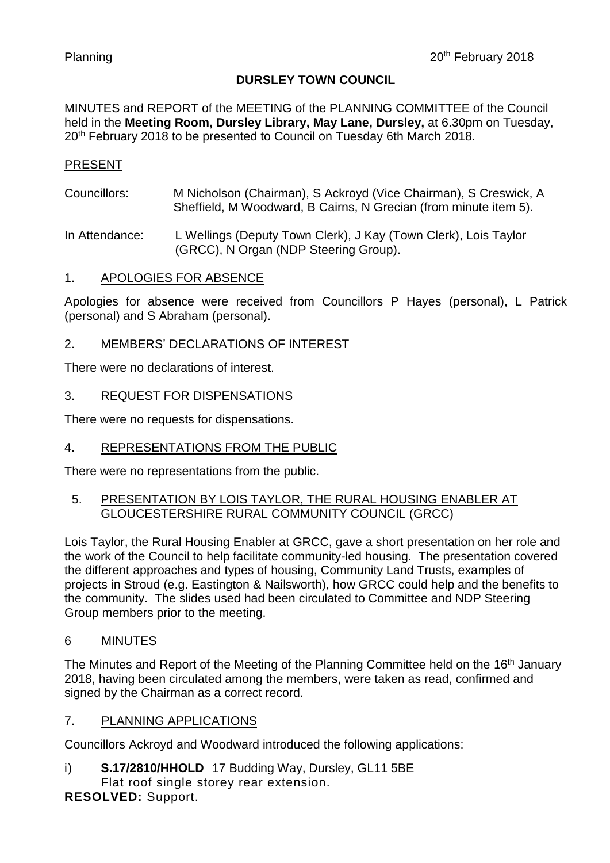### **DURSLEY TOWN COUNCIL**

MINUTES and REPORT of the MEETING of the PLANNING COMMITTEE of the Council held in the **Meeting Room, Dursley Library, May Lane, Dursley,** at 6.30pm on Tuesday, 20<sup>th</sup> February 2018 to be presented to Council on Tuesday 6th March 2018.

### PRESENT

Councillors: M Nicholson (Chairman), S Ackroyd (Vice Chairman), S Creswick, A Sheffield, M Woodward, B Cairns, N Grecian (from minute item 5).

In Attendance: L Wellings (Deputy Town Clerk), J Kay (Town Clerk), Lois Taylor (GRCC), N Organ (NDP Steering Group).

### 1. APOLOGIES FOR ABSENCE

Apologies for absence were received from Councillors P Hayes (personal), L Patrick (personal) and S Abraham (personal).

# 2. MEMBERS' DECLARATIONS OF INTEREST

There were no declarations of interest.

#### 3. REQUEST FOR DISPENSATIONS

There were no requests for dispensations.

### 4. REPRESENTATIONS FROM THE PUBLIC

There were no representations from the public.

### 5. PRESENTATION BY LOIS TAYLOR, THE RURAL HOUSING ENABLER AT GLOUCESTERSHIRE RURAL COMMUNITY COUNCIL (GRCC)

Lois Taylor, the Rural Housing Enabler at GRCC, gave a short presentation on her role and the work of the Council to help facilitate community-led housing. The presentation covered the different approaches and types of housing, Community Land Trusts, examples of projects in Stroud (e.g. Eastington & Nailsworth), how GRCC could help and the benefits to the community. The slides used had been circulated to Committee and NDP Steering Group members prior to the meeting.

### 6 MINUTES

The Minutes and Report of the Meeting of the Planning Committee held on the 16<sup>th</sup> January 2018, having been circulated among the members, were taken as read, confirmed and signed by the Chairman as a correct record.

### 7. PLANNING APPLICATIONS

Councillors Ackroyd and Woodward introduced the following applications:

i) **S.17/2810/HHOLD** 17 Budding Way, Dursley, GL11 5BE Flat roof single storey rear extension.

**RESOLVED:** Support.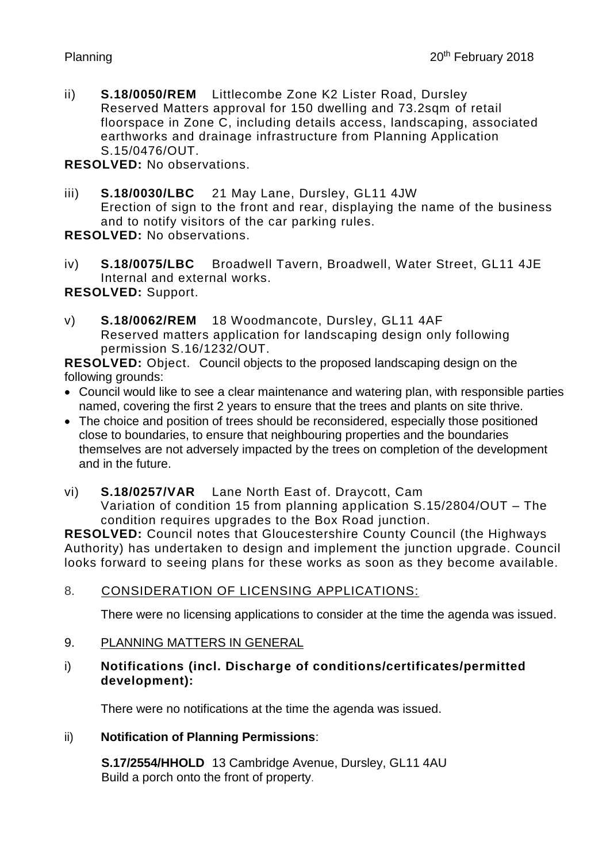ii) **S.18/0050/REM** Littlecombe Zone K2 Lister Road, Dursley Reserved Matters approval for 150 dwelling and 73.2sqm of retail floorspace in Zone C, including details access, landscaping, associated earthworks and drainage infrastructure from Planning Application S.15/0476/OUT.

**RESOLVED:** No observations.

iii) **S.18/0030/LBC** 21 May Lane, Dursley, GL11 4JW Erection of sign to the front and rear, displaying the name of the business and to notify visitors of the car parking rules.

**RESOLVED:** No observations.

iv) **S.18/0075/LBC** Broadwell Tavern, Broadwell, Water Street, GL11 4JE Internal and external works.

**RESOLVED:** Support.

v) **S.18/0062/REM** 18 Woodmancote, Dursley, GL11 4AF Reserved matters application for landscaping design only following permission S.16/1232/OUT.

**RESOLVED:** Object. Council objects to the proposed landscaping design on the following grounds:

- Council would like to see a clear maintenance and watering plan, with responsible parties named, covering the first 2 years to ensure that the trees and plants on site thrive.
- The choice and position of trees should be reconsidered, especially those positioned close to boundaries, to ensure that neighbouring properties and the boundaries themselves are not adversely impacted by the trees on completion of the development and in the future.
- vi) **S.18/0257/VAR** Lane North East of. Draycott, Cam Variation of condition 15 from planning application S.15/2804/OUT – The condition requires upgrades to the Box Road junction.

**RESOLVED:** Council notes that Gloucestershire County Council (the Highways Authority) has undertaken to design and implement the junction upgrade. Council looks forward to seeing plans for these works as soon as they become available.

8. CONSIDERATION OF LICENSING APPLICATIONS:

There were no licensing applications to consider at the time the agenda was issued.

- 9. PLANNING MATTERS IN GENERAL
- i) **Notifications (incl. Discharge of conditions/certificates/permitted development):**

There were no notifications at the time the agenda was issued.

# ii) **Notification of Planning Permissions**:

**S.17/2554/HHOLD** 13 Cambridge Avenue, Dursley, GL11 4AU Build a porch onto the front of property.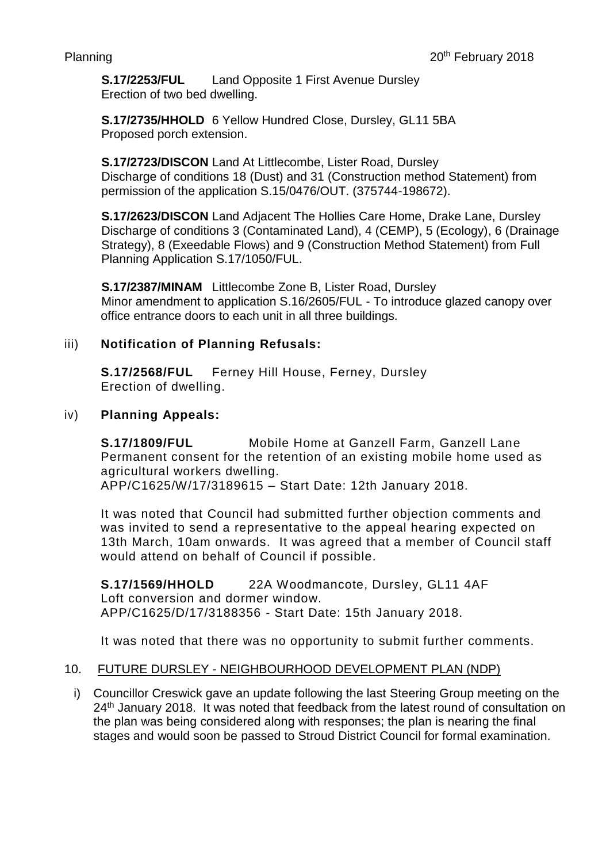**S.17/2253/FUL** Land Opposite 1 First Avenue Dursley Erection of two bed dwelling.

**S.17/2735/HHOLD** 6 Yellow Hundred Close, Dursley, GL11 5BA Proposed porch extension.

**S.17/2723/DISCON** Land At Littlecombe, Lister Road, Dursley Discharge of conditions 18 (Dust) and 31 (Construction method Statement) from permission of the application S.15/0476/OUT. (375744-198672).

**S.17/2623/DISCON** Land Adjacent The Hollies Care Home, Drake Lane, Dursley Discharge of conditions 3 (Contaminated Land), 4 (CEMP), 5 (Ecology), 6 (Drainage Strategy), 8 (Exeedable Flows) and 9 (Construction Method Statement) from Full Planning Application S.17/1050/FUL.

**S.17/2387/MINAM** Littlecombe Zone B, Lister Road, Dursley Minor amendment to application S.16/2605/FUL - To introduce glazed canopy over office entrance doors to each unit in all three buildings.

# iii) **Notification of Planning Refusals:**

**S.17/2568/FUL** Ferney Hill House, Ferney, Dursley Erection of dwelling.

# iv) **Planning Appeals:**

**S.17/1809/FUL** Mobile Home at Ganzell Farm, Ganzell Lane Permanent consent for the retention of an existing mobile home used as agricultural workers dwelling. APP/C1625/W/17/3189615 – Start Date: 12th January 2018.

It was noted that Council had submitted further objection comments and was invited to send a representative to the appeal hearing expected on 13th March, 10am onwards. It was agreed that a member of Council staff would attend on behalf of Council if possible.

**S.17/1569/HHOLD** 22A Woodmancote, Dursley, GL11 4AF Loft conversion and dormer window. APP/C1625/D/17/3188356 - Start Date: 15th January 2018.

It was noted that there was no opportunity to submit further comments.

### 10. FUTURE DURSLEY - NEIGHBOURHOOD DEVELOPMENT PLAN (NDP)

i) Councillor Creswick gave an update following the last Steering Group meeting on the 24<sup>th</sup> January 2018. It was noted that feedback from the latest round of consultation on the plan was being considered along with responses; the plan is nearing the final stages and would soon be passed to Stroud District Council for formal examination.